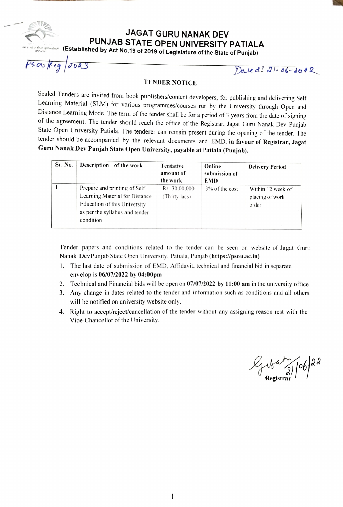JAGAT GURU NANAK DEV PUNJAB STATE OPEN UNIVERSITY PATIALA

 $\frac{1}{\sqrt{2}}$  (Established by Act No.19 of 2019 of Legislature of the State of Punjab)

 $\omega$ Keg  $\sigma$ 023

Daled: 21-06-2012

#### TENDER NOTICE

Sealed Tenders are invited from book publishers/content developers, for publishing and delivering Self Learning Material (SLM) for various programmes/courses run by the University through Open and Distance Learning Mode. The term of the tender shall be for a period of 3 years from the date of signing<br>of the agreement. The tender should reach the office of the Registrar, Jagat Guru Nanak Dev Punjab<br>State Open Univers tender should be accompanied by the relevant documents and EMD, in favour of Registrar, Jagat Guru Nanak Dev Punjab State Open University. payable at Patiala (Punjab).

| Sr. No. | Description of the work                                                                                                                       | Tentative<br>amount of<br>the work | Online<br>submission of<br><b>EMD</b> | <b>Delivery Period</b>                        |
|---------|-----------------------------------------------------------------------------------------------------------------------------------------------|------------------------------------|---------------------------------------|-----------------------------------------------|
|         | Prepare and printing of Self<br>Learning Material for Distance<br>Education of this University<br>as per the syllabus and tender<br>condition | Rs. 30,00,000<br>(Thirty lacs)     | $3\%$ of the cost                     | Within 12 week of<br>placing of work<br>order |

Tender papers and conditions related to the tender can be seen on website of Jagat Guru Nanak Dev Punjab State Open University, Patiala. Punjab (https://psou.ac.in)

- 1. The last date of submission of EMD. Afidavit. technical and financial bid in separate envelop is 06/07/2022 by 04:00pm
- 2. Technical and Financial bids will be open on 07/07/2022 by 11:00 am in the university office.
- 3. Any change in dates related to the tender and information such as conditions and all others will be notified on university website only.
- 4. Right to accept/reject/cancellation of the tender without any assigning reason rest with the Vice-Chancellor of the University.

 $\frac{10}{\sqrt{2}}$  8  $\frac{106}{28}$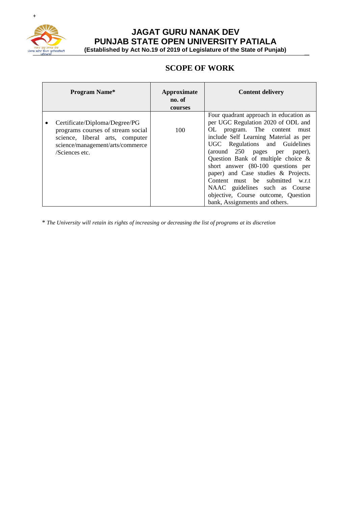

# **JAGAT GURU NANAK DEV PUNJAB STATE OPEN UNIVERSITY PATIALA**

**(Established by Act No.19 of 2019 of Legislature of the State of Punjab)** \_

# **SCOPE OF WORK**

| <b>Program Name*</b>                                                                                                                                        | Approximate<br>no. of<br>courses | <b>Content delivery</b>                                                                                                                                                                                                                                                                                                                                                                                                                                                                     |
|-------------------------------------------------------------------------------------------------------------------------------------------------------------|----------------------------------|---------------------------------------------------------------------------------------------------------------------------------------------------------------------------------------------------------------------------------------------------------------------------------------------------------------------------------------------------------------------------------------------------------------------------------------------------------------------------------------------|
| Certificate/Diploma/Degree/PG<br>programs courses of stream social<br>science, liberal arts, computer<br>science/management/arts/commerce<br>/Sciences etc. | 100                              | Four quadrant approach in education as<br>per UGC Regulation 2020 of ODL and<br>program. The content must<br>OL<br>include Self Learning Material as per<br>UGC Regulations and Guidelines<br>(around 250 pages per paper),<br>Question Bank of multiple choice &<br>short answer (80-100 questions per<br>paper) and Case studies & Projects.<br>Content must be submitted w.r.t<br>NAAC guidelines such as Course<br>objective, Course outcome, Question<br>bank, Assignments and others. |

\* The University will retain its rights of increasing or decreasing the list of programs at its discretion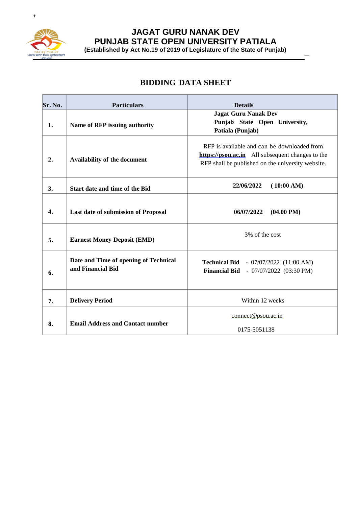

# **JAGAT GURU NANAK DEV PUNJAB STATE OPEN UNIVERSITY PATIALA**

**(Established by Act No.19 of 2019 of Legislature of the State of Punjab)** \_

# **BIDDING DATA SHEET**

| Sr. No. | <b>Particulars</b>                                         | <b>Details</b>                                                                                                                                       |
|---------|------------------------------------------------------------|------------------------------------------------------------------------------------------------------------------------------------------------------|
| 1.      | Name of RFP issuing authority                              | <b>Jagat Guru Nanak Dev</b><br>Punjab State Open University,<br>Patiala (Punjab)                                                                     |
| 2.      | Availability of the document                               | RFP is available and can be downloaded from<br>https://psou.ac.in All subsequent changes to the<br>RFP shall be published on the university website. |
| 3.      | Start date and time of the Bid                             | 22/06/2022<br>(10:00 AM)                                                                                                                             |
| 4.      | Last date of submission of Proposal                        | $(04.00 \text{ PM})$<br>06/07/2022                                                                                                                   |
| 5.      | <b>Earnest Money Deposit (EMD)</b>                         | 3% of the cost                                                                                                                                       |
| 6.      | Date and Time of opening of Technical<br>and Financial Bid | <b>Technical Bid - 07/07/2022 (11:00 AM)</b><br><b>Financial Bid</b> - 07/07/2022 (03:30 PM)                                                         |
| 7.      | <b>Delivery Period</b>                                     | Within 12 weeks                                                                                                                                      |
| 8.      | <b>Email Address and Contact number</b>                    | connect@psou.ac.in<br>0175-5051138                                                                                                                   |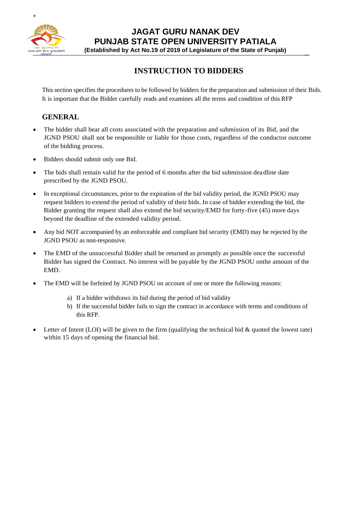

**JAGAT GURU NANAK DEV PUNJAB STATE OPEN UNIVERSITY PATIALA**

**(Established by Act No.19 of 2019 of Legislature of the State of Punjab)** \_

# **INSTRUCTION TO BIDDERS**

Thissection specifies the procedures to be followed by bidders for the preparation and submission of their Bids. It is important that the Bidder carefully reads and examines all the terms and condition of this RFP

#### **GENERAL**

- The bidder shall bear all costs associated with the preparation and submission of its Bid, and the JGND PSOU shall not be responsible or liable for those costs, regardless of the conductor outcome of the bidding process.
- Bidders should submit only one Bid.
- The bids shall remain valid for the period of 6 months after the bid submission deadline date prescribed by the JGND PSOU.
- In exceptional circumstances, prior to the expiration of the bid validity period, the JGND PSOU may request bidders to extend the period of validity of their bids. In case of bidder extending the bid, the Bidder granting the request shall also extend the bid security/EMD for forty-five (45) more days beyond the deadline of the extended validity period.
- Any bid NOT accompanied by an enforceable and compliant bid security (EMD) may be rejected by the JGND PSOU as non-responsive.
- The EMD of the unsuccessful Bidder shall be returned as promptly as possible once the successful Bidder has signed the Contract. No interest will be payable by the JGND PSOU onthe amount of the EMD.
- The EMD will be forfeited by JGND PSOU on account of one or more the following reasons:
	- a) If a bidder withdraws its bid during the period of bid validity
	- b) If the successful bidder fails to sign the contract in accordance with terms and conditions of this RFP.
- Letter of Intent (LOI) will be given to the firm (qualifying the technical bid  $\&$  quoted the lowest rate) within 15 days of opening the financial bid.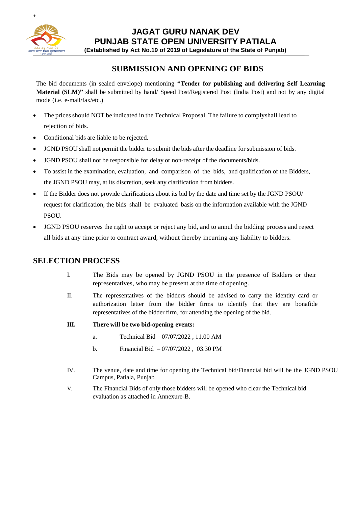

**JAGAT GURU NANAK DEV PUNJAB STATE OPEN UNIVERSITY PATIALA**

**(Established by Act No.19 of 2019 of Legislature of the State of Punjab)** \_

## **SUBMISSION AND OPENING OF BIDS**

The bid documents (in sealed envelope) mentioning **"Tender for publishing and delivering Self Learning Material (SLM)"** shall be submitted by hand/ Speed Post/Registered Post (India Post) and not by any digital mode (i.e. e-mail/fax/etc.)

- The prices should NOT be indicated in the Technical Proposal. The failure to complyshall lead to rejection of bids.
- Conditional bids are liable to be rejected.
- JGND PSOU shall not permit the bidder to submit the bids after the deadline for submission of bids.
- JGND PSOU shall not be responsible for delay or non-receipt of the documents/bids.
- To assist in the examination, evaluation, and comparison of the bids, and qualification of the Bidders, the JGND PSOU may, at its discretion, seek any clarification from bidders.
- If the Bidder does not provide clarifications about its bid by the date and time set by the JGND PSOU/ request for clarification, the bids shall be evaluated basis on the information available with the JGND PSOU.
- JGND PSOU reserves the right to accept or reject any bid, and to annul the bidding process and reject all bids at any time prior to contract award, without thereby incurring any liability to bidders.

#### **SELECTION PROCESS**

- I. The Bids may be opened by JGND PSOU in the presence of Bidders or their representatives, who may be present at the time of opening.
- II. The representatives of the bidders should be advised to carry the identity card or authorization letter from the bidder firms to identify that they are bonafide representatives of the bidder firm, for attending the opening of the bid.
- **III. There will be two bid-opening events:**
	- a. Technical Bid 07/07/2022 , 11.00 AM
	- b. Financial Bid 07/07/2022 , 03.30 PM
- IV. The venue, date and time for opening the Technical bid/Financial bid will be the JGND PSOU Campus, Patiala, Punjab
- V. The Financial Bids of only those bidders will be opened who clear the Technical bid evaluation as attached in Annexure-B.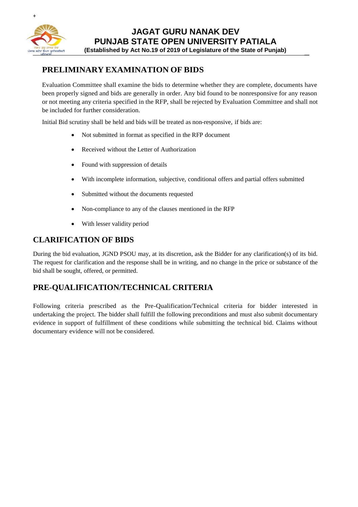

# **PRELIMINARY EXAMINATION OF BIDS**

Evaluation Committee shall examine the bids to determine whether they are complete, documents have been properly signed and bids are generally in order. Any bid found to be nonresponsive for any reason or not meeting any criteria specified in the RFP, shall be rejected by Evaluation Committee and shall not be included for further consideration.

Initial Bid scrutiny shall be held and bids will be treated as non-responsive, if bids are:

- Not submitted in format as specified in the RFP document
- Received without the Letter of Authorization
- Found with suppression of details
- With incomplete information, subjective, conditional offers and partial offers submitted
- Submitted without the documents requested
- Non-compliance to any of the clauses mentioned in the RFP
- With lesser validity period

#### **CLARIFICATION OF BIDS**

During the bid evaluation, JGND PSOU may, at its discretion, ask the Bidder for any clarification(s) of its bid. The request for clarification and the response shall be in writing, and no change in the price or substance of the bid shall be sought, offered, or permitted.

## **PRE-QUALIFICATION/TECHNICAL CRITERIA**

Following criteria prescribed as the Pre-Qualification/Technical criteria for bidder interested in undertaking the project. The bidder shall fulfill the following preconditions and must also submit documentary evidence in support of fulfillment of these conditions while submitting the technical bid. Claims without documentary evidence will not be considered.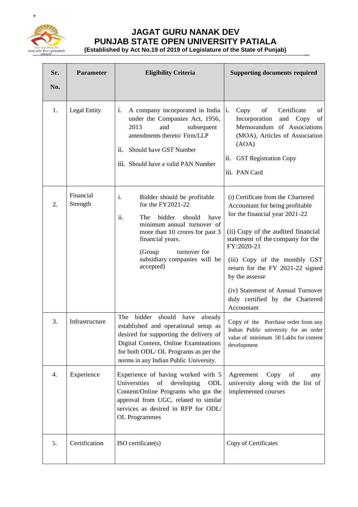

# **JAGAT GURU NANAK DEV PUNJAB STATE OPEN UNIVERSITY PATIALA**

**(Established by Act No.19 of 2019 of Legislature of the State of Punjab)** \_

| Sr.<br>No. | Parameter             | <b>Eligibility Criteria</b>                                                                                                                                                                                                                                 | <b>Supporting documents required</b>                                                                                                                                                                                                                                                                                                                                         |
|------------|-----------------------|-------------------------------------------------------------------------------------------------------------------------------------------------------------------------------------------------------------------------------------------------------------|------------------------------------------------------------------------------------------------------------------------------------------------------------------------------------------------------------------------------------------------------------------------------------------------------------------------------------------------------------------------------|
| 1.         | Legal Entity          | i.<br>A company incorporated in India<br>under the Companies Act, 1956,<br>2013<br>and<br>subsequent<br>amendments thereto/ Firm/LLP<br>ii.<br>Should have GST Number<br>iii. Should have a valid PAN Number                                                | of<br>Certificate<br>of<br>Copy<br>$\mathbf{1}$ .<br>Incorporation<br>of<br>and Copy<br>Memorandum of Associations<br>(MOA), Articles of Association<br>(AOA)<br>ii.<br><b>GST Registration Copy</b><br>iii. PAN Card                                                                                                                                                        |
| 2.         | Financial<br>Strength | Bidder should be profitable<br>i.<br>for the FY2021-22<br>ii.<br>bidder<br>The<br>should<br>have<br>minimum annual turnover of<br>more than 10 crores for past 3<br>financial years.<br>(Group<br>turnover for<br>subsidiary companies will be<br>accepted) | (i) Certificate from the Chartered<br>Accountant for being profitable<br>for the financial year 2021-22<br>(ii) Copy of the audited financial<br>statement of the company for the<br>FY:2020-21<br>(iii) Copy of the monthly GST<br>return for the FY 2021-22 signed<br>by the assesse<br>(iv) Statement of Annual Turnover<br>duly certified by the Chartered<br>Accountant |
| 3.         | Infrastructure        | The<br>bidder<br>should have already<br>established and operational setup as<br>desired for supporting the delivery of<br>Digital Content, Online Examinations<br>for both ODL/OL Programs as per the<br>norms in any Indian Public University.             | Copy of the Purchase order from any<br>Indian Public university for an order<br>value of minimum 50 Lakhs for content<br>development                                                                                                                                                                                                                                         |
| 4.         | Experience            | Experience of having worked with 5<br>Universities<br>of<br>developing<br>ODL<br>Content/Online Programs who got the<br>approval from UGC, related to similar<br>services as desired in RFP for ODL/<br>OL Programmes                                       | Agreement<br>Copy<br>of<br>any<br>university along with the list of<br>implemented courses                                                                                                                                                                                                                                                                                   |
| 5.         | Certification         | ISO certificate(s)                                                                                                                                                                                                                                          | Copy of Certificates                                                                                                                                                                                                                                                                                                                                                         |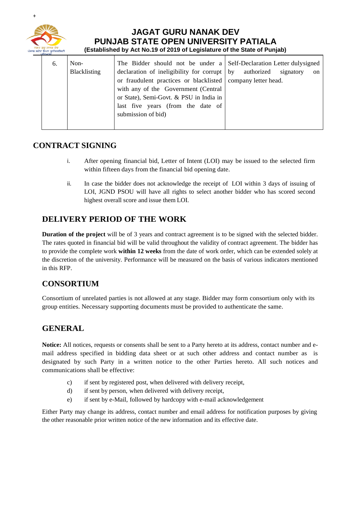

#### **JAGAT GURU NANAK DEV PUNJAB STATE OPEN UNIVERSITY PATIALA (Established by Act No.19 of 2019 of Legislature of the State of Punjab)** \_

| 6. | Non-<br>Blacklisting | The Bidder should not be under a Self-Declaration Letter dulysigned<br>declaration of ineligibility for corrupt $\vert$ by                                                                                 | authorized<br>signatory<br><sub>on</sub> |
|----|----------------------|------------------------------------------------------------------------------------------------------------------------------------------------------------------------------------------------------------|------------------------------------------|
|    |                      | or fraudulent practices or blacklisted   company letter head.<br>with any of the Government (Central<br>or State), Semi-Govt. & PSU in India in<br>last five years (from the date of<br>submission of bid) |                                          |

## **CONTRACT SIGNING**

- i. After opening financial bid, Letter of Intent (LOI) may be issued to the selected firm within fifteen days from the financial bid opening date.
- ii. In case the bidder does not acknowledge the receipt of LOI within 3 days of issuing of LOI, JGND PSOU will have all rights to select another bidder who has scored second highest overall score and issue them LOI.

## **DELIVERY PERIOD OF THE WORK**

**Duration of the project** will be of 3 years and contract agreement is to be signed with the selected bidder. The rates quoted in financial bid will be valid throughout the validity of contract agreement. The bidder has to provide the complete work **within 12 weeks** from the date of work order, which can be extended solely at the discretion of the university. Performance will be measured on the basis of various indicators mentioned in this RFP.

## **CONSORTIUM**

Consortium of unrelated parties is not allowed at any stage. Bidder may form consortium only with its group entities. Necessary supporting documents must be provided to authenticate the same.

## **GENERAL**

**Notice:** All notices, requests or consents shall be sent to a Party hereto at its address, contact number and email address specified in bidding data sheet or at such other address and contact number as is designated by such Party in a written notice to the other Parties hereto. All such notices and communications shall be effective:

- c) if sent by registered post, when delivered with delivery receipt,
- d) if sent by person, when delivered with delivery receipt,
- e) if sent by e-Mail, followed by hardcopy with e-mail acknowledgement

Either Party may change its address, contact number and email address for notification purposes by giving the other reasonable prior written notice of the new information and its effective date.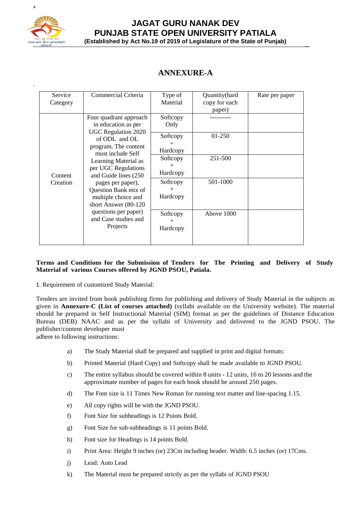

`

#### **JAGAT GURU NANAK DEV PUNJAB STATE OPEN UNIVERSITY PATIALA (Established by Act No.19 of 2019 of Legislature of the State of Punjab)** \_

# **ANNEXURE-A**

| Service  | Commercial Criteria                         | Type of  | Quantity(hard | Rate per paper |
|----------|---------------------------------------------|----------|---------------|----------------|
| Category |                                             | Material | copy for each |                |
|          |                                             |          | paper)        |                |
|          | Four quadrant approach                      | Softcopy |               |                |
|          | in education as per                         | Only     |               |                |
|          | <b>UGC Regulation 2020</b>                  |          | 01-250        |                |
|          | of ODL and OL                               | Softcopy |               |                |
|          | program. The content                        | $^+$     |               |                |
|          | must include Self                           | Hardcopy |               |                |
|          | Learning Material as<br>per UGC Regulations | Softcopy | 251-500       |                |
|          |                                             | $^+$     |               |                |
| Content  | and Guide lines (250)                       | Hardcopy |               |                |
| Creation | pages per paper),                           | Softcopy | 501-1000      |                |
|          | Question Bank mix of                        | $^{+}$   |               |                |
|          | multiple choice and                         | Hardcopy |               |                |
|          | short Answer (80-120                        |          |               |                |
|          | questions per paper)                        | Softcopy | Above 1000    |                |
|          | and Case studies and<br>Projects            |          |               |                |
|          |                                             | Hardcopy |               |                |
|          |                                             |          |               |                |
|          |                                             |          |               |                |

#### **Terms and Conditions for the Submission of Tenders for The Printing and Delivery of Study Material of various Courses offered by JGND PSOU, Patiala.**

1. Requirement of customized Study Material:

Tenders are invited from book publishing firms for publishing and delivery of Study Material in the subjects as given in **Annexure-C (List of courses attached)** (syllabi available on the University website). The material should be prepared in Self Instructional Material (SIM) format as per the guidelines of Distance Education Bureau (DEB) NAAC and as per the syllabi of University and delivered to the JGND PSOU. The publisher/content developer must

adhere to following instructions:

- a) The Study Material shall be prepared and supplied in print and digital formats:
- b) Printed Material (Hard Copy) and Softcopy shall be made available to JGND PSOU.
- c) The entire syllabus should be covered within 8 units 12 units, 16 to 20 lessons and the approximate number of pages for each book should be around 250 pages.
- d) The Font size is 11 Times New Roman for running text matter and line-spacing 1.15.
- e) All copy rights will be with the JGND PSOU.
- f) Font Size for subheadings is 12 Points Bold.
- g) Font Size for sub-subheadings is 11 points Bold.
- h) Font size for Headings is 14 points Bold.
- i) Print Area: Height 9 inches (or) 23Cm including header. Width: 6.5 inches (or) 17Cms.
- j) Lead: Auto Lead
- k) The Material must be prepared strictly as per the syllabi of JGND PSOU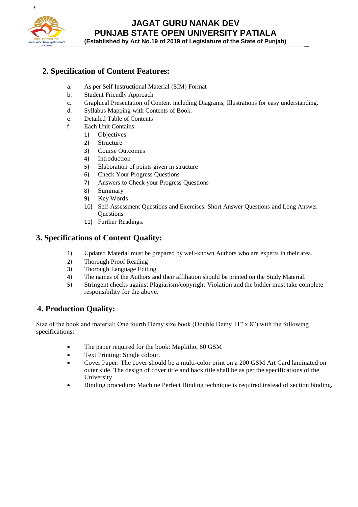

# **JAGAT GURU NANAK DEV PUNJAB STATE OPEN UNIVERSITY PATIALA**

**(Established by Act No.19 of 2019 of Legislature of the State of Punjab)** \_

## **2. Specification of Content Features:**

- a. As per Self Instructional Material (SIM) Format
- b. Student Friendly Approach
- c. Graphical Presentation of Content including Diagrams, Illustrations for easy understanding.
- d. Syllabus Mapping with Contents of Book.
- e. Detailed Table of Contents
- f. Each Unit Contains:
	- 1) Objectives
	- 2) Structure
	- 3) Course Outcomes
	- 4) Introduction
	- 5) Elaboration of points given in structure
	- 6) Check Your Progress Questions
	- 7) Answers to Check your Progress Questions
	- 8) Summary
	- 9) Key Words
	- 10) Self-Assessment Questions and Exercises. Short Answer Questions and Long Answer **Ouestions**
	- 11) Further Readings.

#### **3. Specifications of Content Quality:**

- 1) Updated Material must be prepared by well-known Authors who are experts in their area.
- 2) Thorough Proof Reading
- 3) Thorough Language Editing
- 4) The names of the Authors and their affiliation should be printed on the Study Material.
- 5) Stringent checks against Plagiarism/copyright Violation and the bidder must take complete responsibility for the above.

# **4. Production Quality:**

Size of the book and material: One fourth Demy size book (Double Demy 11" x 8") with the following specifications:

- The paper required for the book: Maplitho, 60 GSM
- Text Printing: Single colour.
- Cover Paper: The cover should be a multi-color print on a 200 GSM Art Card laminated on outer side. The design of cover title and back title shall be as per the specifications of the University.
- Binding procedure: Machine Perfect Binding technique is required instead of section binding.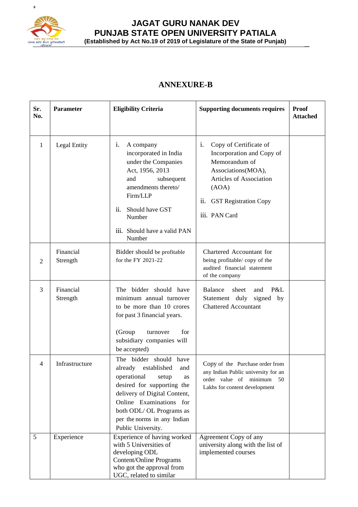

# **JAGAT GURU NANAK DEV PUNJAB STATE OPEN UNIVERSITY PATIALA (Established by Act No.19 of 2019 of Legislature of the State of Punjab)** \_

# **ANNEXURE-B**

| Sr.<br>No. | <b>Parameter</b>      | <b>Eligibility Criteria</b>                                                                                                                                                                                                                                     | <b>Supporting documents requires</b>                                                                                                                                                         | <b>Proof</b><br><b>Attached</b> |
|------------|-----------------------|-----------------------------------------------------------------------------------------------------------------------------------------------------------------------------------------------------------------------------------------------------------------|----------------------------------------------------------------------------------------------------------------------------------------------------------------------------------------------|---------------------------------|
| 1          | Legal Entity          | i.<br>A company<br>incorporated in India<br>under the Companies<br>Act, 1956, 2013<br>and<br>subsequent<br>amendments thereto/<br>Firm/LLP<br>ii.<br>Should have GST<br>Number<br>iii. Should have a valid PAN<br>Number                                        | Copy of Certificate of<br>i.<br>Incorporation and Copy of<br>Memorandum of<br>Associations(MOA),<br>Articles of Association<br>(AOA)<br><b>GST Registration Copy</b><br>ii.<br>iii. PAN Card |                                 |
| 2          | Financial<br>Strength | Bidder should be profitable<br>for the FY 2021-22                                                                                                                                                                                                               | Chartered Accountant for<br>being profitable/copy of the<br>audited financial statement<br>of the company                                                                                    |                                 |
| 3          | Financial<br>Strength | The bidder should have<br>minimum annual turnover<br>to be more than 10 crores<br>for past 3 financial years.<br>(Group<br>for<br>turnover<br>subsidiary companies will<br>be accepted)                                                                         | Balance<br>sheet<br>P&L<br>and<br>Statement duly<br>signed<br>by<br><b>Chattered Accountant</b>                                                                                              |                                 |
| 4          | Infrastructure        | The bidder should have<br>established<br>already<br>and<br>operational<br>setup<br>as<br>desired for supporting the<br>delivery of Digital Content,<br>Online Examinations for<br>both ODL/ OL Programs as<br>per the norms in any Indian<br>Public University. | Copy of the Purchase order from<br>any Indian Public university for an<br>order value of minimum<br>50<br>Lakhs for content development                                                      |                                 |
| 5          | Experience            | Experience of having worked<br>with 5 Universities of<br>developing ODL<br><b>Content/Online Programs</b><br>who got the approval from<br>UGC, related to similar                                                                                               | Agreement Copy of any<br>university along with the list of<br>implemented courses                                                                                                            |                                 |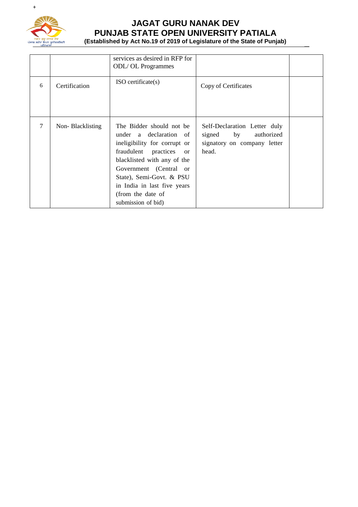

# **JAGAT GURU NANAK DEV PUNJAB STATE OPEN UNIVERSITY PATIALA (Established by Act No.19 of 2019 of Legislature of the State of Punjab)** \_

|   |                  | services as desired in RFP for<br><b>ODL/OL</b> Programmes                                                                                                                                                                                                                   |                                                                                                 |  |
|---|------------------|------------------------------------------------------------------------------------------------------------------------------------------------------------------------------------------------------------------------------------------------------------------------------|-------------------------------------------------------------------------------------------------|--|
| 6 | Certification    | $ISO$ certificate $(s)$                                                                                                                                                                                                                                                      | Copy of Certificates                                                                            |  |
| 7 | Non-Blacklisting | The Bidder should not be<br>under a declaration of<br>ineligibility for corrupt or<br>fraudulent practices or<br>blacklisted with any of the<br>Government (Central or<br>State), Semi-Govt. & PSU<br>in India in last five years<br>(from the date of<br>submission of bid) | Self-Declaration Letter duly<br>signed by<br>authorized<br>signatory on company letter<br>head. |  |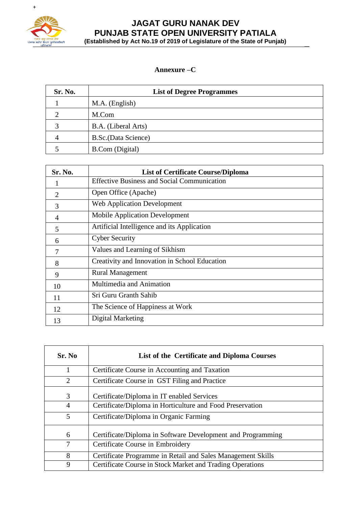

# **JAGAT GURU NANAK DEV PUNJAB STATE OPEN UNIVERSITY PATIALA (Established by Act No.19 of 2019 of Legislature of the State of Punjab)** \_

#### **Annexure –C**

| Sr. No. | <b>List of Degree Programmes</b> |
|---------|----------------------------------|
|         | M.A. (English)                   |
|         | M.Com                            |
|         | B.A. (Liberal Arts)              |
|         | B.Sc.(Data Science)              |
|         | <b>B.Com</b> (Digital)           |

| Sr. No.                     | <b>List of Certificate Course/Diploma</b>          |
|-----------------------------|----------------------------------------------------|
|                             | <b>Effective Business and Social Communication</b> |
| $\mathcal{D}_{\mathcal{L}}$ | Open Office (Apache)                               |
| 3                           | <b>Web Application Development</b>                 |
| 4                           | <b>Mobile Application Development</b>              |
| 5                           | Artificial Intelligence and its Application        |
| 6                           | <b>Cyber Security</b>                              |
| 7                           | Values and Learning of Sikhism                     |
| 8                           | Creativity and Innovation in School Education      |
| 9                           | <b>Rural Management</b>                            |
| 10                          | Multimedia and Animation                           |
| 11                          | Sri Guru Granth Sahib                              |
| 12                          | The Science of Happiness at Work                   |
| 13                          | Digital Marketing                                  |

| Sr. No         | List of the Certificate and Diploma Courses                 |
|----------------|-------------------------------------------------------------|
|                | Certificate Course in Accounting and Taxation               |
| $\overline{2}$ | Certificate Course in GST Filing and Practice               |
| 3              | Certificate/Diploma in IT enabled Services                  |
| 4              | Certificate/Diploma in Horticulture and Food Preservation   |
| 5              | Certificate/Diploma in Organic Farming                      |
| 6              | Certificate/Diploma in Software Development and Programming |
| 7              | Certificate Course in Embroidery                            |
| 8              | Certificate Programme in Retail and Sales Management Skills |
| 9              | Certificate Course in Stock Market and Trading Operations   |